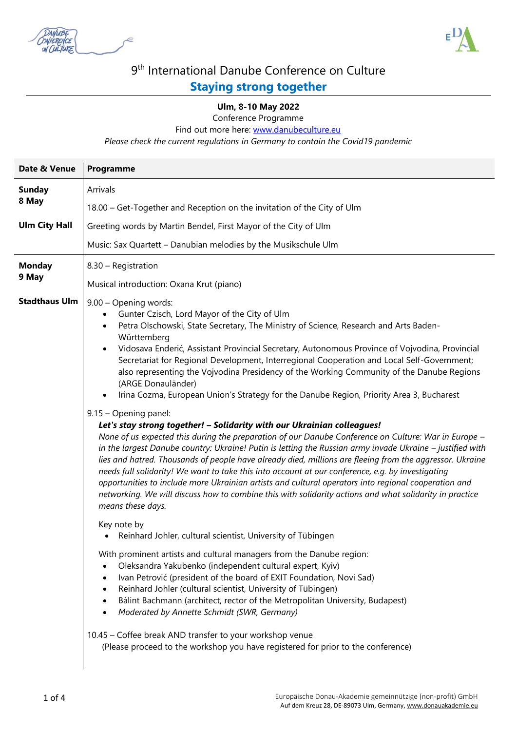



## 9<sup>th</sup> International Danube Conference on Culture

## **Staying strong together**

## **Ulm, 8-10 May 2022**

Conference Programme

Find out more here: [www.danubeculture.eu](http://www.danubeculture.eu/)

*Please check the current regulations in Germany to contain the Covid19 pandemic* 

| Programme                                                                                                                                                                                                                                                                                                                                                                                                                                                                                                                                                                                                                                                                                                                                             |
|-------------------------------------------------------------------------------------------------------------------------------------------------------------------------------------------------------------------------------------------------------------------------------------------------------------------------------------------------------------------------------------------------------------------------------------------------------------------------------------------------------------------------------------------------------------------------------------------------------------------------------------------------------------------------------------------------------------------------------------------------------|
| Arrivals                                                                                                                                                                                                                                                                                                                                                                                                                                                                                                                                                                                                                                                                                                                                              |
| 18.00 - Get-Together and Reception on the invitation of the City of Ulm                                                                                                                                                                                                                                                                                                                                                                                                                                                                                                                                                                                                                                                                               |
| Greeting words by Martin Bendel, First Mayor of the City of Ulm                                                                                                                                                                                                                                                                                                                                                                                                                                                                                                                                                                                                                                                                                       |
| Music: Sax Quartett - Danubian melodies by the Musikschule Ulm                                                                                                                                                                                                                                                                                                                                                                                                                                                                                                                                                                                                                                                                                        |
| 8.30 - Registration                                                                                                                                                                                                                                                                                                                                                                                                                                                                                                                                                                                                                                                                                                                                   |
| Musical introduction: Oxana Krut (piano)                                                                                                                                                                                                                                                                                                                                                                                                                                                                                                                                                                                                                                                                                                              |
| 9.00 - Opening words:<br>Gunter Czisch, Lord Mayor of the City of Ulm<br>Petra Olschowski, State Secretary, The Ministry of Science, Research and Arts Baden-<br>Württemberg<br>Vidosava Enderić, Assistant Provincial Secretary, Autonomous Province of Vojvodina, Provincial<br>Secretariat for Regional Development, Interregional Cooperation and Local Self-Government;<br>also representing the Vojvodina Presidency of the Working Community of the Danube Regions<br>(ARGE Donauländer)<br>Irina Cozma, European Union's Strategy for the Danube Region, Priority Area 3, Bucharest<br>9.15 - Opening panel:                                                                                                                                  |
| Let's stay strong together! - Solidarity with our Ukrainian colleagues!<br>None of us expected this during the preparation of our Danube Conference on Culture: War in Europe -<br>in the largest Danube country: Ukraine! Putin is letting the Russian army invade Ukraine - justified with<br>lies and hatred. Thousands of people have already died, millions are fleeing from the aggressor. Ukraine<br>needs full solidarity! We want to take this into account at our conference, e.g. by investigating<br>opportunities to include more Ukrainian artists and cultural operators into regional cooperation and<br>networking. We will discuss how to combine this with solidarity actions and what solidarity in practice<br>means these days. |
| Key note by<br>Reinhard Johler, cultural scientist, University of Tübingen                                                                                                                                                                                                                                                                                                                                                                                                                                                                                                                                                                                                                                                                            |
| With prominent artists and cultural managers from the Danube region:<br>Oleksandra Yakubenko (independent cultural expert, Kyiv)<br>Ivan Petrović (president of the board of EXIT Foundation, Novi Sad)<br>$\bullet$<br>Reinhard Johler (cultural scientist, University of Tübingen)<br>$\bullet$<br>Bálint Bachmann (architect, rector of the Metropolitan University, Budapest)<br>$\bullet$<br>Moderated by Annette Schmidt (SWR, Germany)<br>10.45 - Coffee break AND transfer to your workshop venue<br>(Please proceed to the workshop you have registered for prior to the conference)                                                                                                                                                         |
|                                                                                                                                                                                                                                                                                                                                                                                                                                                                                                                                                                                                                                                                                                                                                       |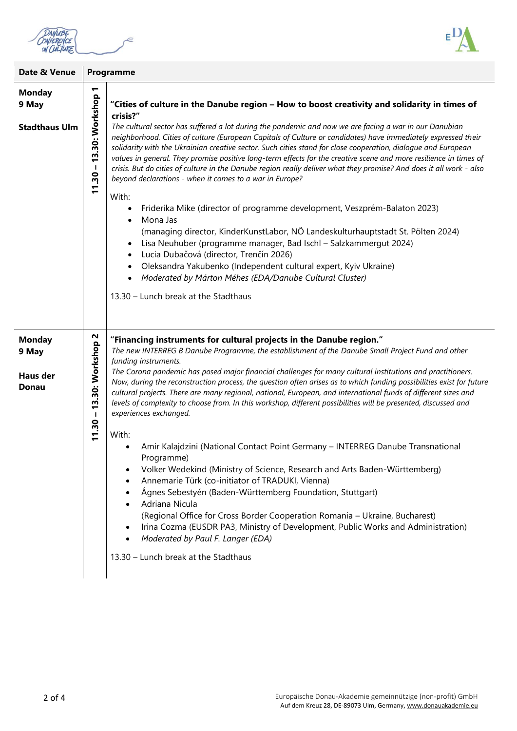DANUBE ∊ ON CULTURE



| Date & Venue                                              |                                              | Programme                                                                                                                                                                                                                                                                                                                                                                                                                                                                                                                                                                                                                                                                                                                                                                                                                                                                                                                                                                                                                                                                                                                                                                                                                                                                                                                                               |
|-----------------------------------------------------------|----------------------------------------------|---------------------------------------------------------------------------------------------------------------------------------------------------------------------------------------------------------------------------------------------------------------------------------------------------------------------------------------------------------------------------------------------------------------------------------------------------------------------------------------------------------------------------------------------------------------------------------------------------------------------------------------------------------------------------------------------------------------------------------------------------------------------------------------------------------------------------------------------------------------------------------------------------------------------------------------------------------------------------------------------------------------------------------------------------------------------------------------------------------------------------------------------------------------------------------------------------------------------------------------------------------------------------------------------------------------------------------------------------------|
| <b>Monday</b><br>9 May<br><b>Stadthaus Ulm</b>            | ↽<br>13.30: Workshop<br>$\mathbf I$<br>11.30 | "Cities of culture in the Danube region - How to boost creativity and solidarity in times of<br>crisis?"<br>The cultural sector has suffered a lot during the pandemic and now we are facing a war in our Danubian<br>neighborhood. Cities of culture (European Capitals of Culture or candidates) have immediately expressed their<br>solidarity with the Ukrainian creative sector. Such cities stand for close cooperation, dialogue and European<br>values in general. They promise positive long-term effects for the creative scene and more resilience in times of<br>crisis. But do cities of culture in the Danube region really deliver what they promise? And does it all work - also<br>beyond declarations - when it comes to a war in Europe?<br>With:<br>Friderika Mike (director of programme development, Veszprém-Balaton 2023)<br>$\bullet$<br>Mona Jas<br>(managing director, KinderKunstLabor, NÖ Landeskulturhauptstadt St. Pölten 2024)<br>Lisa Neuhuber (programme manager, Bad Ischl - Salzkammergut 2024)<br>$\bullet$<br>Lucia Dubačová (director, Trenčín 2026)<br>Oleksandra Yakubenko (Independent cultural expert, Kyiv Ukraine)<br>$\bullet$<br>Moderated by Márton Méhes (EDA/Danube Cultural Cluster)<br>$\bullet$<br>13.30 - Lunch break at the Stadthaus                                                            |
| <b>Monday</b><br>9 May<br><b>Haus der</b><br><b>Donau</b> | 13.30: Workshop 2<br>$11.30 -$               | "Financing instruments for cultural projects in the Danube region."<br>The new INTERREG B Danube Programme, the establishment of the Danube Small Project Fund and other<br>funding instruments.<br>The Corona pandemic has posed major financial challenges for many cultural institutions and practitioners.<br>Now, during the reconstruction process, the question often arises as to which funding possibilities exist for future<br>cultural projects. There are many regional, national, European, and international funds of different sizes and<br>levels of complexity to choose from. In this workshop, different possibilities will be presented, discussed and<br>experiences exchanged.<br>With:<br>Amir Kalajdzini (National Contact Point Germany - INTERREG Danube Transnational<br>$\bullet$<br>Programme)<br>Volker Wedekind (Ministry of Science, Research and Arts Baden-Württemberg)<br>٠<br>Annemarie Türk (co-initiator of TRADUKI, Vienna)<br>$\bullet$<br>Ágnes Sebestyén (Baden-Württemberg Foundation, Stuttgart)<br>$\bullet$<br>Adriana Nicula<br>$\bullet$<br>(Regional Office for Cross Border Cooperation Romania - Ukraine, Bucharest)<br>Irina Cozma (EUSDR PA3, Ministry of Development, Public Works and Administration)<br>$\bullet$<br>Moderated by Paul F. Langer (EDA)<br>13.30 - Lunch break at the Stadthaus |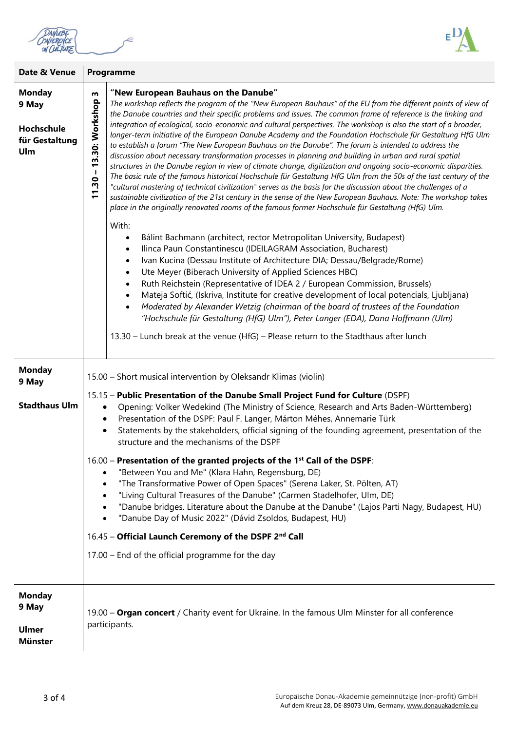DANUBE<br>CONFERENCE<br>ON CULTURE



| Date & Venue                                                  | Programme                                                                                                                                                                                                                                                                                                                                                                                                                                                                                                                                                                                                                                                                                                                                                                                                                                                                                                                                                                                                                                                                                                                                                                                                                                                                                                                                                                                                                                                                                                                                                                                                                                                                                                                                                                                                                                                                                                                                                                                                                                                                                                                                                                          |  |  |
|---------------------------------------------------------------|------------------------------------------------------------------------------------------------------------------------------------------------------------------------------------------------------------------------------------------------------------------------------------------------------------------------------------------------------------------------------------------------------------------------------------------------------------------------------------------------------------------------------------------------------------------------------------------------------------------------------------------------------------------------------------------------------------------------------------------------------------------------------------------------------------------------------------------------------------------------------------------------------------------------------------------------------------------------------------------------------------------------------------------------------------------------------------------------------------------------------------------------------------------------------------------------------------------------------------------------------------------------------------------------------------------------------------------------------------------------------------------------------------------------------------------------------------------------------------------------------------------------------------------------------------------------------------------------------------------------------------------------------------------------------------------------------------------------------------------------------------------------------------------------------------------------------------------------------------------------------------------------------------------------------------------------------------------------------------------------------------------------------------------------------------------------------------------------------------------------------------------------------------------------------------|--|--|
| <b>Monday</b><br>9 May<br>Hochschule<br>für Gestaltung<br>Ulm | "New European Bauhaus on the Danube"<br>w<br>11.30 - 13.30: Workshop<br>The workshop reflects the program of the "New European Bauhaus" of the EU from the different points of view of<br>the Danube countries and their specific problems and issues. The common frame of reference is the linking and<br>integration of ecological, socio-economic and cultural perspectives. The workshop is also the start of a broader,<br>longer-term initiative of the European Danube Academy and the Foundation Hochschule für Gestaltung HfG Ulm<br>to establish a forum "The New European Bauhaus on the Danube". The forum is intended to address the<br>discussion about necessary transformation processes in planning and building in urban and rural spatial<br>structures in the Danube region in view of climate change, digitization and ongoing socio-economic disparities.<br>The basic rule of the famous historical Hochschule für Gestaltung HfG Ulm from the 50s of the last century of the<br>"cultural mastering of technical civilization" serves as the basis for the discussion about the challenges of a<br>sustainable civilization of the 21st century in the sense of the New European Bauhaus. Note: The workshop takes<br>place in the originally renovated rooms of the famous former Hochschule für Gestaltung (HfG) Ulm.<br>With:<br>Bálint Bachmann (architect, rector Metropolitan University, Budapest)<br>$\bullet$<br>Ilinca Paun Constantinescu (IDEILAGRAM Association, Bucharest)<br>$\bullet$<br>Ivan Kucina (Dessau Institute of Architecture DIA; Dessau/Belgrade/Rome)<br>$\bullet$<br>Ute Meyer (Biberach University of Applied Sciences HBC)<br>$\bullet$<br>Ruth Reichstein (Representative of IDEA 2 / European Commission, Brussels)<br>$\bullet$<br>Mateja Softić, (Iskriva, Institute for creative development of local potencials, Ljubljana)<br>$\bullet$<br>Moderated by Alexander Wetzig (chairman of the board of trustees of the Foundation<br>$\bullet$<br>"Hochschule für Gestaltung (HfG) Ulm"), Peter Langer (EDA), Dana Hoffmann (Ulm)<br>13.30 - Lunch break at the venue (HfG) - Please return to the Stadthaus after lunch |  |  |
| <b>Monday</b><br>9 May<br><b>Stadthaus Ulm</b>                | 15.00 - Short musical intervention by Oleksandr Klimas (violin)<br>15.15 - Public Presentation of the Danube Small Project Fund for Culture (DSPF)<br>Opening: Volker Wedekind (The Ministry of Science, Research and Arts Baden-Württemberg)<br>٠<br>Presentation of the DSPF: Paul F. Langer, Márton Méhes, Annemarie Türk<br>$\bullet$<br>Statements by the stakeholders, official signing of the founding agreement, presentation of the<br>$\bullet$<br>structure and the mechanisms of the DSPF<br>16.00 - Presentation of the granted projects of the 1 <sup>st</sup> Call of the DSPF:<br>"Between You and Me" (Klara Hahn, Regensburg, DE)<br>"The Transformative Power of Open Spaces" (Serena Laker, St. Pölten, AT)<br>٠<br>"Living Cultural Treasures of the Danube" (Carmen Stadelhofer, Ulm, DE)<br>"Danube bridges. Literature about the Danube at the Danube" (Lajos Parti Nagy, Budapest, HU)<br>"Danube Day of Music 2022" (Dávid Zsoldos, Budapest, HU)<br>16.45 - Official Launch Ceremony of the DSPF 2nd Call<br>17.00 - End of the official programme for the day                                                                                                                                                                                                                                                                                                                                                                                                                                                                                                                                                                                                                                                                                                                                                                                                                                                                                                                                                                                                                                                                                          |  |  |
| <b>Monday</b><br>9 May<br><b>Ulmer</b><br><b>Münster</b>      | 19.00 - Organ concert / Charity event for Ukraine. In the famous Ulm Minster for all conference<br>participants.                                                                                                                                                                                                                                                                                                                                                                                                                                                                                                                                                                                                                                                                                                                                                                                                                                                                                                                                                                                                                                                                                                                                                                                                                                                                                                                                                                                                                                                                                                                                                                                                                                                                                                                                                                                                                                                                                                                                                                                                                                                                   |  |  |